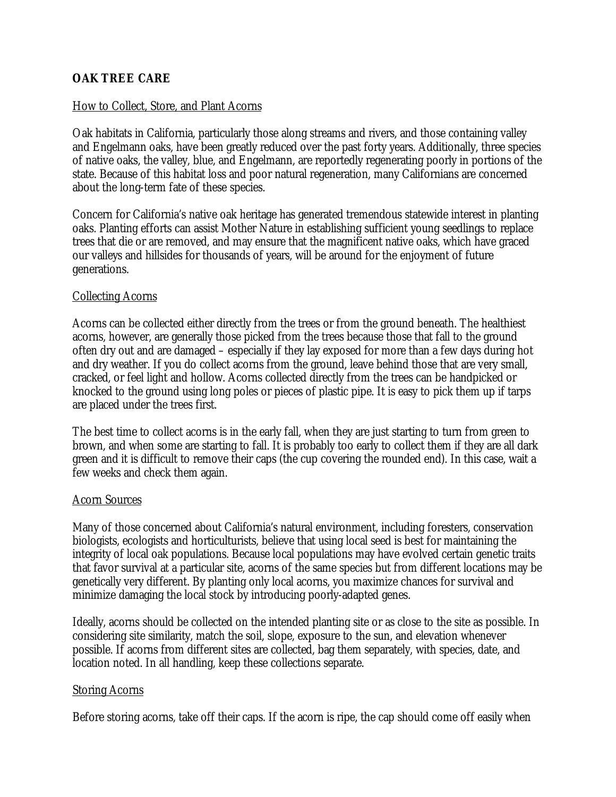# **OAK TREE CARE**

### How to Collect, Store, and Plant Acorns

Oak habitats in California, particularly those along streams and rivers, and those containing valley and Engelmann oaks, have been greatly reduced over the past forty years. Additionally, three species of native oaks, the valley, blue, and Engelmann, are reportedly regenerating poorly in portions of the state. Because of this habitat loss and poor natural regeneration, many Californians are concerned about the long-term fate of these species.

Concern for California's native oak heritage has generated tremendous statewide interest in planting oaks. Planting efforts can assist Mother Nature in establishing sufficient young seedlings to replace trees that die or are removed, and may ensure that the magnificent native oaks, which have graced our valleys and hillsides for thousands of years, will be around for the enjoyment of future generations.

### Collecting Acorns

Acorns can be collected either directly from the trees or from the ground beneath. The healthiest acorns, however, are generally those picked from the trees because those that fall to the ground often dry out and are damaged – especially if they lay exposed for more than a few days during hot and dry weather. If you do collect acorns from the ground, leave behind those that are very small, cracked, or feel light and hollow. Acorns collected directly from the trees can be handpicked or knocked to the ground using long poles or pieces of plastic pipe. It is easy to pick them up if tarps are placed under the trees first.

The best time to collect acorns is in the early fall, when they are just starting to turn from green to brown, and when some are starting to fall. It is probably too early to collect them if they are all dark green and it is difficult to remove their caps (the cup covering the rounded end). In this case, wait a few weeks and check them again.

#### Acorn Sources

Many of those concerned about California's natural environment, including foresters, conservation biologists, ecologists and horticulturists, believe that using local seed is best for maintaining the integrity of local oak populations. Because local populations may have evolved certain genetic traits that favor survival at a particular site, acorns of the same species but from different locations may be genetically very different. By planting only local acorns, you maximize chances for survival and minimize damaging the local stock by introducing poorly-adapted genes.

Ideally, acorns should be collected on the intended planting site or as close to the site as possible. In considering site similarity, match the soil, slope, exposure to the sun, and elevation whenever possible. If acorns from different sites are collected, bag them separately, with species, date, and location noted. In all handling, keep these collections separate.

#### Storing Acorns

Before storing acorns, take off their caps. If the acorn is ripe, the cap should come off easily when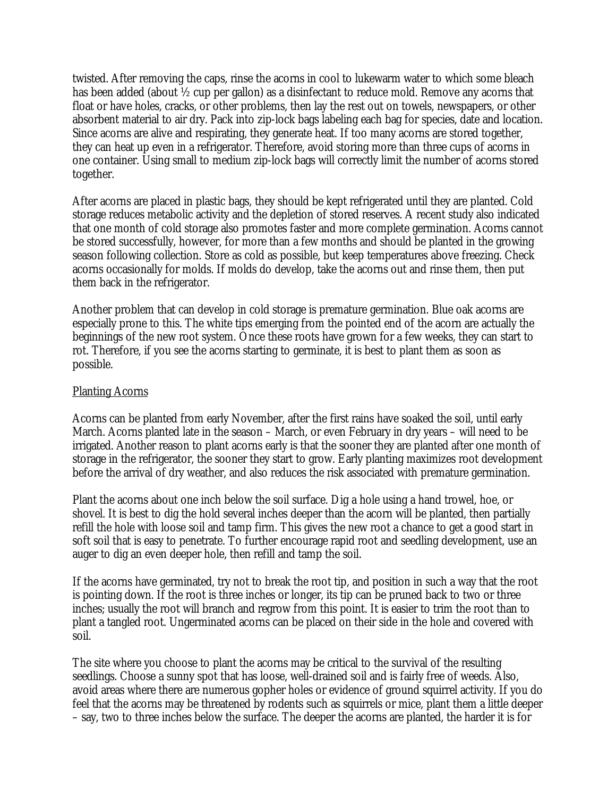twisted. After removing the caps, rinse the acorns in cool to lukewarm water to which some bleach has been added (about ½ cup per gallon) as a disinfectant to reduce mold. Remove any acorns that float or have holes, cracks, or other problems, then lay the rest out on towels, newspapers, or other absorbent material to air dry. Pack into zip-lock bags labeling each bag for species, date and location. Since acorns are alive and respirating, they generate heat. If too many acorns are stored together, they can heat up even in a refrigerator. Therefore, avoid storing more than three cups of acorns in one container. Using small to medium zip-lock bags will correctly limit the number of acorns stored together.

After acorns are placed in plastic bags, they should be kept refrigerated until they are planted. Cold storage reduces metabolic activity and the depletion of stored reserves. A recent study also indicated that one month of cold storage also promotes faster and more complete germination. Acorns cannot be stored successfully, however, for more than a few months and should be planted in the growing season following collection. Store as cold as possible, but keep temperatures above freezing. Check acorns occasionally for molds. If molds do develop, take the acorns out and rinse them, then put them back in the refrigerator.

Another problem that can develop in cold storage is premature germination. Blue oak acorns are especially prone to this. The white tips emerging from the pointed end of the acorn are actually the beginnings of the new root system. Once these roots have grown for a few weeks, they can start to rot. Therefore, if you see the acorns starting to germinate, it is best to plant them as soon as possible.

#### Planting Acorns

Acorns can be planted from early November, after the first rains have soaked the soil, until early March. Acorns planted late in the season – March, or even February in dry years – will need to be irrigated. Another reason to plant acorns early is that the sooner they are planted after one month of storage in the refrigerator, the sooner they start to grow. Early planting maximizes root development before the arrival of dry weather, and also reduces the risk associated with premature germination.

Plant the acorns about one inch below the soil surface. Dig a hole using a hand trowel, hoe, or shovel. It is best to dig the hold several inches deeper than the acorn will be planted, then partially refill the hole with loose soil and tamp firm. This gives the new root a chance to get a good start in soft soil that is easy to penetrate. To further encourage rapid root and seedling development, use an auger to dig an even deeper hole, then refill and tamp the soil.

If the acorns have germinated, try not to break the root tip, and position in such a way that the root is pointing down. If the root is three inches or longer, its tip can be pruned back to two or three inches; usually the root will branch and regrow from this point. It is easier to trim the root than to plant a tangled root. Ungerminated acorns can be placed on their side in the hole and covered with soil.

The site where you choose to plant the acorns may be critical to the survival of the resulting seedlings. Choose a sunny spot that has loose, well-drained soil and is fairly free of weeds. Also, avoid areas where there are numerous gopher holes or evidence of ground squirrel activity. If you do feel that the acorns may be threatened by rodents such as squirrels or mice, plant them a little deeper – say, two to three inches below the surface. The deeper the acorns are planted, the harder it is for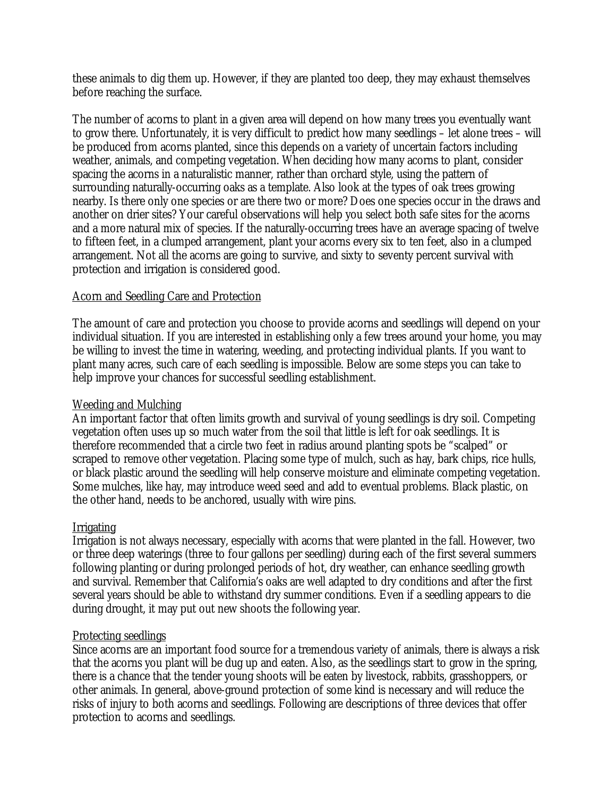these animals to dig them up. However, if they are planted too deep, they may exhaust themselves before reaching the surface.

The number of acorns to plant in a given area will depend on how many trees you eventually want to grow there. Unfortunately, it is very difficult to predict how many seedlings – let alone trees – will be produced from acorns planted, since this depends on a variety of uncertain factors including weather, animals, and competing vegetation. When deciding how many acorns to plant, consider spacing the acorns in a naturalistic manner, rather than orchard style, using the pattern of surrounding naturally-occurring oaks as a template. Also look at the types of oak trees growing nearby. Is there only one species or are there two or more? Does one species occur in the draws and another on drier sites? Your careful observations will help you select both safe sites for the acorns and a more natural mix of species. If the naturally-occurring trees have an average spacing of twelve to fifteen feet, in a clumped arrangement, plant your acorns every six to ten feet, also in a clumped arrangement. Not all the acorns are going to survive, and sixty to seventy percent survival with protection and irrigation is considered good.

## Acorn and Seedling Care and Protection

The amount of care and protection you choose to provide acorns and seedlings will depend on your individual situation. If you are interested in establishing only a few trees around your home, you may be willing to invest the time in watering, weeding, and protecting individual plants. If you want to plant many acres, such care of each seedling is impossible. Below are some steps you can take to help improve your chances for successful seedling establishment.

# Weeding and Mulching

An important factor that often limits growth and survival of young seedlings is dry soil. Competing vegetation often uses up so much water from the soil that little is left for oak seedlings. It is therefore recommended that a circle two feet in radius around planting spots be "scalped" or scraped to remove other vegetation. Placing some type of mulch, such as hay, bark chips, rice hulls, or black plastic around the seedling will help conserve moisture and eliminate competing vegetation. Some mulches, like hay, may introduce weed seed and add to eventual problems. Black plastic, on the other hand, needs to be anchored, usually with wire pins.

## Irrigating

Irrigation is not always necessary, especially with acorns that were planted in the fall. However, two or three deep waterings (three to four gallons per seedling) during each of the first several summers following planting or during prolonged periods of hot, dry weather, can enhance seedling growth and survival. Remember that California's oaks are well adapted to dry conditions and after the first several years should be able to withstand dry summer conditions. Even if a seedling appears to die during drought, it may put out new shoots the following year.

## Protecting seedlings

Since acorns are an important food source for a tremendous variety of animals, there is always a risk that the acorns you plant will be dug up and eaten. Also, as the seedlings start to grow in the spring, there is a chance that the tender young shoots will be eaten by livestock, rabbits, grasshoppers, or other animals. In general, above-ground protection of some kind is necessary and will reduce the risks of injury to both acorns and seedlings. Following are descriptions of three devices that offer protection to acorns and seedlings.